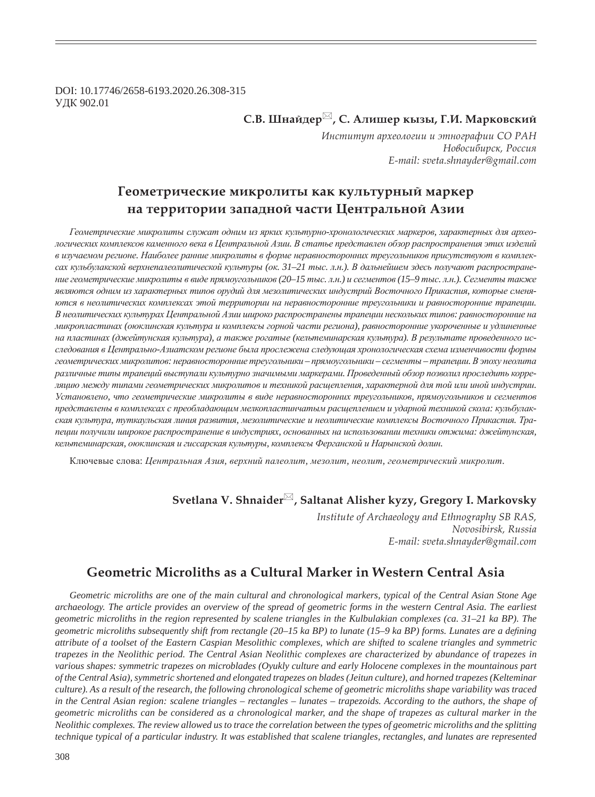DOI: 10.17746/2658-6193.2020.26.308-315 ɍȾɄ 902.01

# $C$ .В. Шнайдер<sup>⊠</sup>, С. Алишер кызы, Г.И. Марковский

*ǶțȟȠȖȠȡȠ ȎȞȣȓȜșȜȑȖȖ Ȗ ȫȠțȜȑȞȎȢȖȖ ǿǼ ǾǮǻ*  $H$ овосибирск, Россия  *E-mail: sveta.shnayder@gmail.com*

# $\Gamma$ еометрические микролиты как культурный маркер **па территории западной части Центральной Азии**

Геометрические микролиты служат одним из ярких культурно-хронологических маркеров, характерных для археологических комплексов каменного века в Центральной Азии. В статье представлен обзор распространения этих изделий *ɜ ɢɡɭɱɚɟɦɨɦ ɪɟɝɢɨɧɟ. ɇɚɢɛɨɥɟɟ ɪɚɧɧɢɟ ɦɢɤɪɨɥɢɬɵ ɜ ɮɨɪɦɟ ɧɟɪɚɜɧɨɫɬɨɪɨɧɧɢɯ ɬɪɟɭɝɨɥɶɧɢɤɨɜ ɩɪɢɫɭɬɫɬɜɭɸɬ ɜ ɤɨɦɩɥɟɤ*сах кульбулакской верхнепалеолитической культуры (ок. 31–21 тыс. л.н.). В дальнейшем здесь получают распространение геометрические микролиты в виде прямоугольников (20–15 тыс. л.н.) и сегментов (15–9 тыс. л.н.). Сегменты также являются одним из характерных типов орудий для мезолитических индустрий Восточного Прикаспия, которые сменя-*Ются в неолитических комплексах этой территории на неравносторонние треугольники и равносторонние трапеции.* В неолитических культурах Центральной Азии широко распространены трапеции нескольких типов: равносторонние на  $Mukponiacmuakx (оюклинская күльтүра и компексы горной частисти региона), равносторонние укороченные и удлиненные$ на пластинах (джейтунская культура), а также рогатые (кельтеминарская культура). В результате проведенного исследования в Центрально-Азиатском регионе была прослежена следующая хронологическая схема изменчивости формы геометрических микролитов: неравносторонние треугольники – прямоугольники – сегменты – трапеции. В эпоху неолита различные типы трапеций выступали культурно значимыми маркерами. Проведенный обзор позволил проследить корреляцию между типами геометрических микролитов и техникой расшепления, характерной для той или иной индустрии. *ɍɫɬɚɧɨɜɥɟɧɨ, ɱɬɨ ɝɟɨɦɟɬɪɢɱɟɫɤɢɟ ɦɢɤɪɨɥɢɬɵ ɜ ɜɢɞɟ ɧɟɪɚɜɧɨɫɬɨɪɨɧɧɢɯ ɬɪɟɭɝɨɥɶɧɢɤɨɜ, ɩɪɹɦɨɭɝɨɥɶɧɢɤɨɜ ɢ ɫɟɝɦɟɧɬɨɜ* представлены в комплексах с преобладающим мелкопластинчатым расщеплением и ударной техникой скола: кульбулакская культура, туткаульская линия развития, мезолитические и неолитические комплексы Восточного Прикаспия. Тралеции получили широкое распространение в индустриях, основанных на использовании техники отжима: джейтунская, кельтеминарская, оюклинская и гиссарская культуры, комплексы Ферганской и Нарынской долин.

Ключевые слова: Центральная Азия, верхний палеолит, мезолит, неолит, геометрический микролит.

# **Svetlana V. Shnaider , Saltanat Alisher kyzy, Gregory I. Markovsky**

*Institute of Archaeology and Ethnography SB RAS, Novosibirsk, Russia E-mail: sveta.shnayder@gmail.com*

# **Geometric Microliths as a Cultural Marker in Western Central Asia**

*Geometric microliths are one of the main cultural and chronological markers, typical of the Central Asian Stone Age archaeology. The article provides an overview of the spread of geometric forms in the western Central Asia. The earliest geometric microliths in the region represented by scalene triangles in the Kulbulakian complexes (ca. 31–21 ka BP). The geometric microliths subsequently shift from rectangle (20–15 ka BP) to lunate (15–9 ka BP) forms. Lunates are a defining attribute of a toolset of the Eastern Caspian Mesolithic complexes, which are shifted to scalene triangles and symmetric trapezes in the Neolithic period. The Central Asian Neolithic complexes are characterized by abundance of trapezes in various shapes: symmetric trapezes on microblades (Oyukly culture and early Holocene complexes in the mountainous part of the Central Asia), symmetric shortened and elongated trapezes on blades (Jeitun culture), and horned trapezes (Kelteminar culture). As a result of the research, the following chronological scheme of geometric microliths shape variability was traced in the Central Asian region: scalene triangles – rectangles – lunates – trapezoids. According to the authors, the shape of geometric microliths can be considered as a chronological marker, and the shape of trapezes as cultural marker in the Neolithic complexes. The review allowed us to trace the correlation between the types of geometric microliths and the splitting technique typical of a particular industry. It was established that scalene triangles, rectangles, and lunates are represented*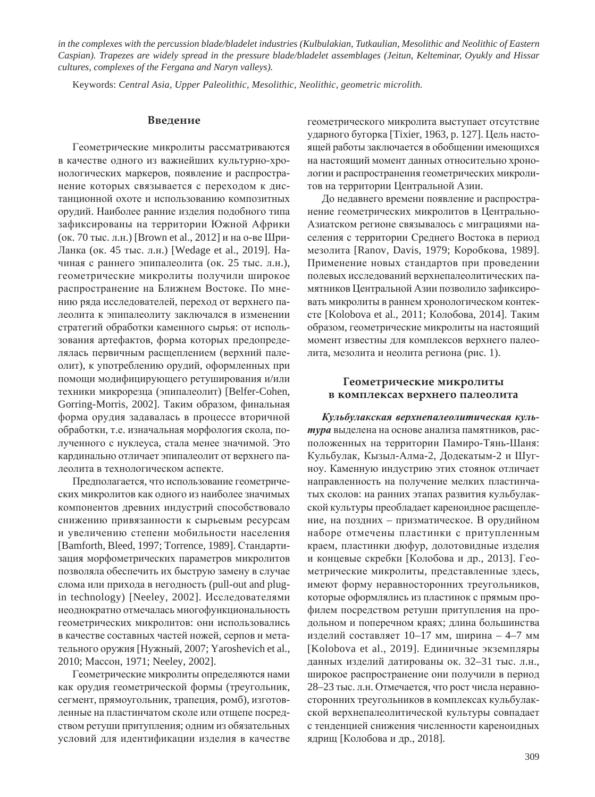*in the complexes with the percussion blade/bladelet industries (Kulbulakian, Tutkaulian, Mesolithic and Neolithic of Eastern Caspian). Trapezes are widely spread in the pressure blade/bladelet assemblages (Jeitun, Kelteminar, Oyukly and Hissar cultures, complexes of the Fergana and Naryn valleys).*

Keywords: *Central Asia, Upper Paleolithic, Mesolithic, Neolithic, geometric microlith.*

### **Введение**

Геометрические микролиты рассматриваются в качестве одного из важнейших культурно-хронологических маркеров, появление и распространение которых связывается с переходом к дистанционной охоте и использованию композитных орудий. Наиболее ранние изделия подобного типа зафиксированы на территории Южной Африки (ок. 70 тыс. л.н.) [Brown et al., 2012] и на о-ве Шри-Ланка (ок. 45 тыс. л.н.) [Wedage et al., 2019]. Начиная с раннего эпипалеолита (ок. 25 тыс. л.н.), геометрические микролиты получили широкое распространение на Ближнем Востоке. По мнению ряда исследователей, переход от верхнего палеолита к эпипалеолиту заключался в изменении стратегий обработки каменного сырья: от использования артефактов, форма которых предопределялась первичным расщеплением (верхний палеолит), к употреблению орудий, оформленных при помощи модифицирующего ретуширования и/или техники микрорезца (эпипалеолит) [Belfer-Cohen, Gorring-Morris, 2002]. Таким образом, финальная форма орудия задавалась в процессе вторичной обработки, т.е. изначальная морфология скола, полученного с нуклеуса, стала менее значимой. Это кардинально отличает эпипалеолит от верхнего палеолита в технологическом аспекте.

Предполагается, что использование геометрических микролитов как одного из наиболее значимых компонентов древних индустрий способствовало снижению привязанности к сырьевым ресурсам и увеличению степени мобильности населения [Bamforth, Bleed, 1997; Torrence, 1989]. Стандартизация морфометрических параметров микролитов позволяла обеспечить их быструю замену в случае слома или прихода в негодность (pull-out and plugin technology) [Neeley, 2002]. Исследователями неоднократно отмечалась многофункциональность геометрических микролитов: они использовались в качестве составных частей ножей, серпов и метательного оружия [Нужный, 2007; Yaroshevich et al., 2010; Массон, 1971; Neeley, 2002].

Геометрические микролиты определяются нами как орудия геометрической формы (треугольник, сегмент, прямоугольник, трапеция, ромб), изготовленные на пластинчатом сколе или отщепе посредством ретуши притупления; одним из обязательных условий для идентификации изделия в качестве геометрического микролита выступает отсутствие ударного бугорка [Tixier, 1963, p. 127]. Цель настоящей работы заключается в обобщении имеющихся на настоящий момент данных относительно хронологии и распространения геометрических микролитов на территории Центральной Азии.

До недавнего времени появление и распространение геометрических микролитов в Центрально-Азиатском регионе связывалось с миграциями населения с территории Среднего Востока в период мезолита [Ranov, Davis, 1979; Коробкова, 1989]. Применение новых стандартов при проведении полевых исследований верхнепалеолитических памятников Центральной Азии позволило зафиксировать микролиты в раннем хронологическом контексте [Kolobova et al., 2011; Колобова, 2014]. Таким образом, геометрические микролиты на настоящий момент известны для комплексов верхнего палеолита, мезолита и неолита региона (рис. 1).

## Геометрические микролиты **В КОМПЛЕКСАХ ВЕРХНЕГО ПАЛЕОЛИТА**

*Ʉɭɥɶɛɭɥɚɤɫɤɚɹ ɜɟɪɯɧɟɩɚɥɟɨɥɢɬɢɱɟɫɤɚɹ ɤɭɥɶ*тура выделена на основе анализа памятников, расположенных на территории Памиро-Тянь-Шаня: Кульбулак, Кызыл-Алма-2, Додекатым-2 и Шугноу. Каменную индустрию этих стоянок отличает направленность на получение мелких пластинчатых сколов: на ранних этапах развития кульбулакской культуры преобладает кареноидное расщепление, на поздних – призматическое. В орудийном наборе отмечены пластинки с притупленным краем, пластинки дюфур, долотовидные изделия и концевые скребки [Колобова и др., 2013]. Геометрические микролиты, представленные здесь, имеют форму неравносторонних треугольников, которые оформлялись из пластинок с прямым профилем посредством ретуши притупления на продольном и поперечном краях; длина большинства изделий составляет  $10-17$  мм, ширина – 4–7 мм [Kolobova et al., 2019]. Единичные экземпляры данных изделий датированы ок. 32–31 тыс. л.н., широкое распространение они получили в период 28–23 тыс. л.н. Отмечается, что рост числа неравносторонних треугольников в комплексах кульбулакской верхнепалеолитической культуры совпадает с тенденцией снижения численности кареноидных ядрищ [Колобова и др., 2018].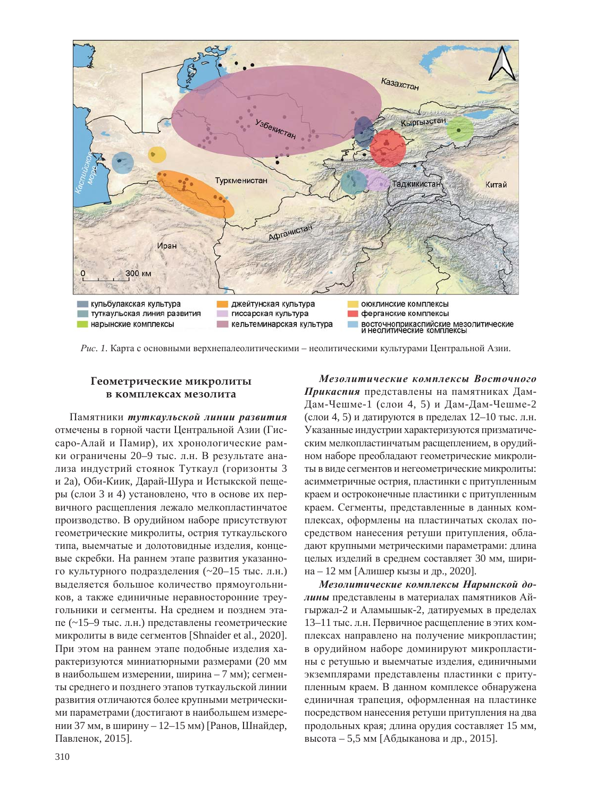

Рис. 1. Карта с основными верхнепалеолитическими – неолитическими культурами Центральной Азии.

# $\Gamma$ еометрические микролиты **В КОМПЛЕКСАХ МЕЗОЛИТА**

Памятники туткаульской линии развития отмечены в горной части Центральной Азии (Гиссаро-Алай и Памир), их хронологические рамки ограничены 20–9 тыс. л.н. В результате анализа индустрий стоянок Туткаул (горизонты 3 и 2а), Оби-Киик, Дарай-Шура и Истыкской пещеры (слои 3 и 4) установлено, что в основе их первичного расщепления лежало мелкопластинчатое производство. В орудийном наборе присутствуют геометрические микролиты, острия туткаульского типа, выемчатые и долотовидные изделия, концевые скребки. На раннем этапе развития указанного культурного подразделения  $(\sim 20-15$  тыс. л.н.) выделяется большое количество прямоугольников, а также единичные неравносторонние треугольники и сегменты. На среднем и позднем этапе (~15–9 тыс. л.н.) представлены геометрические микролиты в виде сегментов [Shnaider et al., 2020]. При этом на раннем этапе подобные изделия характеризуются миниатюрными размерами (20 мм в наибольшем измерении, ширина – 7 мм); сегменты среднего и позднего этапов туткаульской линии развития отличаются более крупными метрическими параметрами (достигают в наибольшем измерении 37 мм, в ширину – 12–15 мм) [Ранов, Шнайдер, Павленок, 2015].

 $Me$ 30литические комплексы Восточного Прикасния представлены на памятниках Дам-Дам-Чешме-1 (слои 4, 5) и Дам-Дам-Чешме-2 (слои 4, 5) и датируются в пределах 12–10 тыс. л.н. Указанные индустрии характеризуются призматическим мелкопластинчатым расщеплением, в орудийном наборе преобладают геометрические микролиты в виде сегментов и негеометрические микролиты: асимметричные острия, пластинки с притупленным краем и остроконечные пластинки с притупленным краем. Сегменты, представленные в данных комплексах, оформлены на пластинчатых сколах посредством нанесения ретуши притупления, обладают крупными метрическими параметрами: длина целых изделий в среднем составляет 30 мм, ширина – 12 мм [Алишер кызы и др., 2020].

Мезолитические комплексы Нарынской долины представлены в материалах памятников Айгыржал-2 и Аламышык-2, датируемых в пределах 13–11 тыс. л.н. Первичное расщепление в этих комплексах направлено на получение микропластин; в орудийном наборе доминируют микропластины с ретушью и выемчатые изделия, единичными экземплярами представлены пластинки с притупленным краем. В данном комплексе обнаружена единичная трапеция, оформленная на пластинке посредством нанесения ретуши притупления на два продольных края; длина орудия составляет 15 мм, высота – 5,5 мм [Абдыканова и др., 2015].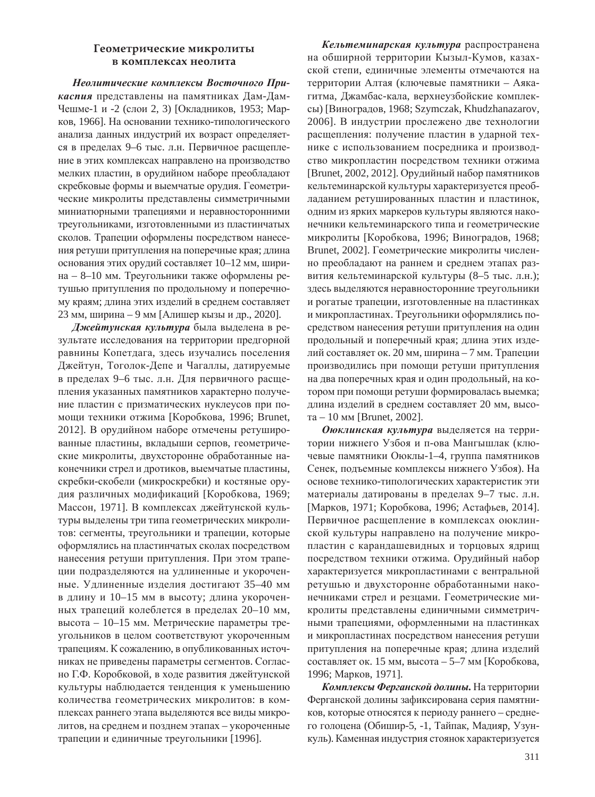## Геометрические микролиты **В КОМПЛЕКСАХ НЕОЛИТА**

Неолитические комплексы Восточного При**каспия** представлены на памятниках Дам-Дам-Чешме-1 и -2 (слои 2, 3) [Окладников, 1953; Марков, 1966]. На основании технико-типологического анализа данных индустрий их возраст определяется в пределах 9–6 тыс. л.н. Первичное расщепление в этих комплексах направлено на производство мелких пластин, в орудийном наборе преобладают скребковые формы и выемчатые орудия. Геометрические микролиты представлены симметричными миниатюрными трапециями и неравносторонними треугольниками, изготовленными из пластинчатых сколов. Трапеции оформлены посредством нанесения ретуши притупления на поперечные края; длина основания этих орудий составляет 10–12 мм, ширина – 8–10 мм. Треугольники также оформлены ретушью притупления по продольному и поперечному краям; длина этих изделий в среднем составляет  $23$  мм, ширина – 9 мм [Алишер кызы и др., 2020].

Джейтунская культура была выделена в результате исследования на территории предгорной равнины Копетдага, здесь изучались поселения Джейтун, Тоголок-Депе и Чагаллы, датируемые в пределах 9–6 тыс. л.н. Для первичного расщепления указанных памятников характерно получение пластин с призматических нуклеусов при помощи техники отжима [Коробкова, 1996; Brunet, 2012]. В орудийном наборе отмечены ретушированные пластины, вкладыши серпов, геометрические микролиты, двухсторонне обработанные наконечники стрел и дротиков, выемчатые пластины, скребки-скобели (микроскребки) и костяные орудия различных модификаций [Коробкова, 1969; Массон, 1971]. В комплексах джейтунской культуры выделены три типа геометрических микролитов: сегменты, треугольники и трапеции, которые оформлялись на пластинчатых сколах посредством нанесения ретуши притупления. При этом трапеции подразделяются на удлиненные и укороченные. Удлиненные изделия достигают 35–40 мм в длину и 10–15 мм в высоту; длина укороченных трапеций колеблется в пределах 20–10 мм, высота – 10–15 мм. Метрические параметры треугольников в целом соответствуют укороченным трапециям. К сожалению, в опубликованных источниках не приведены параметры сегментов. Согласно Г.Ф. Коробковой, в ходе развития джейтунской культуры наблюдается тенденция к уменьшению количества геометрических микролитов: в комплексах раннего этапа выделяются все виды микролитов, на среднем и позднем этапах – укороченные трапеции и единичные треугольники [1996].

Кельтеминарская культура распространена на обширной территории Кызыл-Кумов, казахской степи, единичные элементы отмечаются на территории Алтая (ключевые памятники – Аякагитма, Джамбас-кала, верхнеузбойские комплексы) [Виноградов, 1968; Szymczak, Khudzhanazarov, 2006]. В индустрии прослежено две технологии расщепления: получение пластин в ударной технике с использованием посредника и производство микропластин посредством техники отжима [Brunet, 2002, 2012]. Орудийный набор памятников кельтеминарской культуры характеризуется преобладанием ретушированных пластин и пластинок, одним из ярких маркеров культуры являются наконечники кельтеминарского типа и геометрические микролиты [Коробкова, 1996; Виноградов, 1968; Brunet, 2002]. Геометрические микролиты численно преобладают на раннем и среднем этапах развития кельтеминарской культуры (8–5 тыс. л.н.); здесь выделяются неравносторонние треугольники и рогатые трапеции, изготовленные на пластинках и микропластинах. Треугольники оформлялись посредством нанесения ретуши притупления на один продольный и поперечный края; длина этих изделий составляет ок. 20 мм, ширина – 7 мм. Трапеции производились при помощи ретуши притупления на два поперечных края и один продольный, на котором при помощи ретуши формировалась выемка; длина изделий в среднем составляет 20 мм, высота – 10 мм [Brunet, 2002].

Оюклинская культура выделяется на территории нижнего Узбоя и п-ова Мангышлак (ключевые памятники Оюклы-1-4, группа памятников Сенек, подъемные комплексы нижнего Узбоя). На основе технико-типологических характеристик эти материалы датированы в пределах 9–7 тыс. л.н. [Марков, 1971; Коробкова, 1996; Астафьев, 2014]. Первичное расщепление в комплексах оюклинской культуры направлено на получение микропластин с карандашевидных и торцовых ядрищ посредством техники отжима. Орудийный набор характеризуется микропластинами с вентральной ретушью и двухсторонне обработанными наконечниками стрел и резцами. Геометрические микролиты представлены единичными симметричными трапециями, оформленными на пластинках и микропластинах посредством нанесения ретуши притупления на поперечные края; длина изделий составляет ок. 15 мм, высота – 5–7 мм [Коробкова, 1996; Марков, 1971].

Комплексы Ферганской долины. На территории Ферганской долины зафиксирована серия памятников, которые относятся к периоду раннего – среднего голоцена (Обишир-5, -1, Тайпак, Мадияр, Узункуль). Каменная индустрия стоянок характеризуется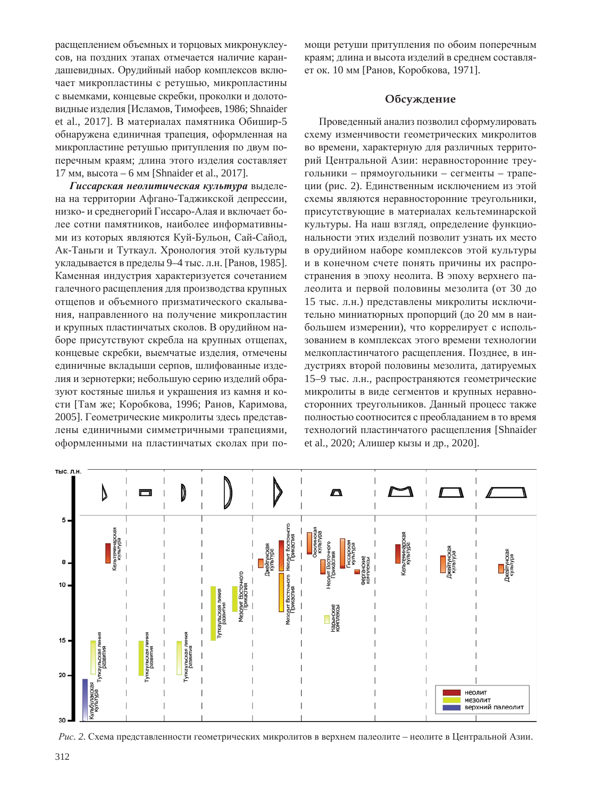расщеплением объемных и торцовых микронуклеусов, на поздних этапах отмечается наличие карандашевидных. Орудийный набор комплексов включает микропластины с ретушью, микропластины с выемками, концевые скребки, проколки и долотовидные изделия [Исламов, Тимофеев, 1986; Shnaider et al., 2017]. В материалах памятника Обишир-5 обнаружена единичная трапеция, оформленная на микропластине ретушью притупления по двум поперечным краям; длина этого изделия составляет 17 мм, высота – 6 мм [Shnaider et al., 2017].

Гиссарская неолитическая культура выделена на территории Афгано-Таджикской депрессии, низко- и среднегорий Гиссаро-Алая и включает более сотни памятников, наиболее информативными из которых являются Куй-Бульон, Сай-Сайод, Ак-Таньги и Туткаул. Хронология этой культуры укладывается в пределы 9–4 тыс. л.н. [Ранов, 1985]. Каменная индустрия характеризуется сочетанием галечного расщепления для производства крупных отщепов и объемного призматического скалывания, направленного на получение микропластин и крупных пластинчатых сколов. В орудийном наборе присутствуют скребла на крупных отщепах, концевые скребки, выемчатые изделия, отмечены единичные вкладыши серпов, шлифованные изделия и зернотерки; небольшую серию изделий образуют костяные шилья и украшения из камня и кости [Там же; Коробкова, 1996; Ранов, Каримова, 2005]. Геометрические микролиты здесь представлены единичными симметричными трапециями, оформленными на пластинчатых сколах при помощи ретуши притупления по обоим поперечным краям; длина и высота изделий в среднем составляет ок. 10 мм [Ранов, Коробкова, 1971].

# Обсуждение

Проведенный анализ позволил сформулировать схему изменчивости геометрических микролитов во времени, характерную для различных территорий Центральной Азии: неравносторонние треугольники – прямоугольники – сегменты – трапеции (рис. 2). Единственным исключением из этой схемы являются неравносторонние треугольники, присутствующие в материалах кельтеминарской культуры. На наш взгляд, определение функциональности этих изделий позволит узнать их место в орудийном наборе комплексов этой культуры и в конечном счете понять причины их распространения в эпоху неолита. В эпоху верхнего палеолита и первой половины мезолита (от 30 до 15 тыс. л.н.) представлены микролиты исключительно миниатюрных пропорций (до 20 мм в наибольшем измерении), что коррелирует с использованием в комплексах этого времени технологии мелкопластинчатого расщепления. Позднее, в индустриях второй половины мезолита, датируемых 15–9 тыс. л.н., распространяются геометрические микролиты в виде сегментов и крупных неравносторонних треугольников. Данный процесс также полностью соотносится с преобладанием в то время технологий пластинчатого расщепления [Shnaider et al., 2020; Алишер кызы и др., 2020].



Рис. 2. Схема представленности геометрических микролитов в верхнем палеолите – неолите в Центральной Азии.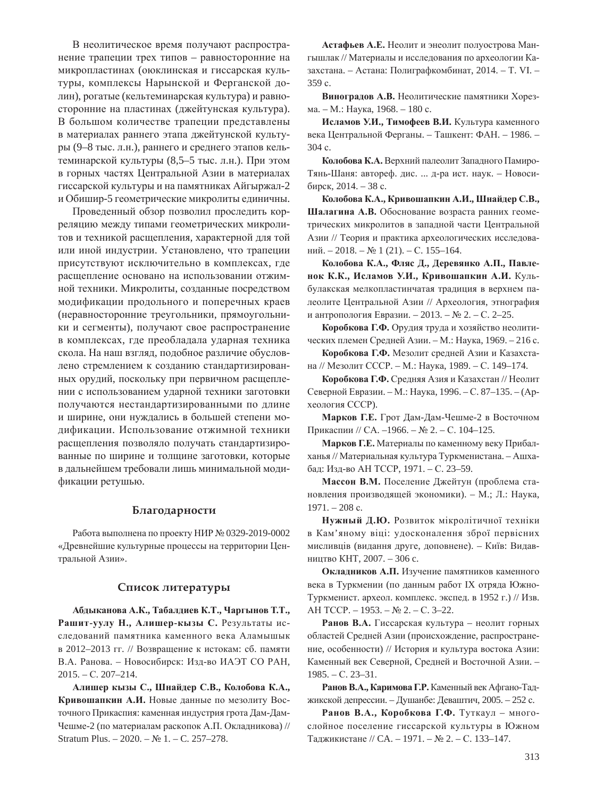В неолитическое время получают распространение трапеции трех типов – равносторонние на микропластинах (оюклинская и гиссарская культуры, комплексы Нарынской и Ферганской долин), рогатые (кельтеминарская культура) и равносторонние на пластинах (джейтунская культура). В большом количестве трапеции представлены в материалах раннего этапа джейтунской культуры (9–8 тыс. л.н.), раннего и среднего этапов кельтеминарской культуры (8,5–5 тыс. л.н.). При этом в горных частях Центральной Азии в материалах гиссарской культуры и на памятниках Айгыржал-2 и Обишир-5 геометрические микролиты единичны.

Проведенный обзор позволил проследить корреляцию между типами геометрических микролитов и техникой расщепления, характерной для той или иной индустрии. Установлено, что трапеции присутствуют исключительно в комплексах, где расщепление основано на использовании отжимной техники. Микролиты, созданные посредством модификации продольного и поперечных краев (неравносторонние треугольники, прямоугольники и сегменты), получают свое распространение в комплексах, где преобладала ударная техника скола. На наш взгляд, подобное различие обусловлено стремлением к созданию стандартизированных орудий, поскольку при первичном расщеплении с использованием ударной техники заготовки получаются нестандартизированными по длине и ширине, они нуждались в большей степени модификации. Использование отжимной техники расщепления позволяло получать стандартизированные по ширине и толщине заготовки, которые в дальнейшем требовали лишь минимальной модификации ретушью.

## **Благодарности**

Работа выполнена по проекту НИР № 0329-2019-0002 «Древнейшие культурные процессы на территории Центральной Азии».

#### Список литературы

 $A6A$ ыканова А.К., Табалдиев К.Т., Чаргынов Т.Т., Рашит-уулу Н., Алишер-кызы С. Результаты исследований памятника каменного века Аламышык в 2012–2013 гг. // Возвращение к истокам: сб. памяти В.А. Ранова. – Новосибирск: Изд-во ИАЭТ СО РАН,  $2015. - C. 207 - 214.$ 

**Ⱥɥɢɲɟɪ ɤɵɡɵ ɋ., ɒɧɚɣɞɟɪ ɋ.ȼ., Ʉɨɥɨɛɨɜɚ Ʉ.Ⱥ.,**  Кривошапкин А.И. Новые данные по мезолиту Восточного Прикаспия: каменная индустрия грота Дам-Дам-Чешме-2 (по материалам раскопок А.П. Окладникова) // Stratum Plus.  $-2020$ .  $-$  No 1.  $-$  C. 257–278.

Астафьев А.Е. Неолит и энеолит полуострова Мангышлак // Материалы и исследования по археологии Казахстана. – Астана: Полиграфкомбинат, 2014. – Т. VI. –  $359c.$ 

Виноградов А.В. Неолитические памятники Хорезма. – М.: Наука, 1968. – 180 с.

**Исламов У.И., Тимофеев В.И.** Культура каменного века Центральной Ферганы. – Ташкент: ФАН. – 1986. – 304 c.

Колобова К.А. Верхний палеолит Западного Памиро-Тянь-Шаня: автореф. дис. ... д-ра ист. наук. - Новоси- $6$ ирск, 2014. – 38 с.

Колобова К.А., Кривошапкин А.И., Шнайдер С.В., Шалагина А.В. Обоснование возраста ранних геометрических микролитов в запалной части Центральной Азии // Теория и практика археологических исследований. – 2018. – № 1 (21). – С. 155–164.

Колобова К.А., Фляс Д., Деревянко А.П., Павле-**НОК К.К., Исламов У.И., Кривошапкин А.И.** Кульбулакская мелкопластинчатая традиция в верхнем палеолите Центральной Азии // Археология, этнография и антропология Евразии. – 2013. – № 2. – С. 2–25.

Коробкова Г.Ф. Орудия труда и хозяйство неолитических племен Средней Азии. – М.: Наука, 1969. – 216 с.

Коробкова Г.Ф. Мезолит средней Азии и Казахстана // Мезолит СССР. – М.: Наука, 1989. – С. 149–174.

Коробкова Г.Ф. Средняя Азия и Казахстан // Неолит Северной Евразии. – М.: Наука, 1996. – С. 87–135. – (Археология СССР).

Марков Г.Е. Грот Дам-Дам-Чешме-2 в Восточном Прикаспии // СА. –1966. – № 2. – С. 104–125.

Марков Г.Е. Материалы по каменному веку Прибалханья // Материальная культура Туркменистана. – Ашхабад: Изд-во АН ТССР, 1971. – С. 23–59.

Массон В.М. Поселение Джейтун (проблема становления производящей экономики). - М.; Л.: Наука,  $1971. - 208$  c.

Нужный Д.Ю. Розвиток мікролітичної техніки в Кам'яному віці: удосконалення зброї первісних мисливців (видання друге, доповнене). – Київ: Видавництво КНТ, 2007. – 306 с.

Окладников А.П. Изучение памятников каменного века в Туркмении (по данным работ IX отряда Южно-Туркменист. археол. комплекс. экспед. в 1952 г.) // Изв. AH TCCP. – 1953. – № 2. – С. 3–22.

Ранов В.А. Гиссарская культура – неолит горных областей Средней Азии (происхождение, распространение, особенности) // История и культура востока Азии: Каменный век Северной, Средней и Восточной Азии. - $1985. - C. 23 - 31.$ 

Ранов В.А., Каримова Г.Р. Каменный век Афгано-Таджикской депрессии. – Душанбе: Деваштич, 2005. – 252 с.

Ранов В.А., Коробкова Г.Ф. Туткаул - многослойное поселение гиссарской культуры в Южном Таджикистане // СА. – 1971. – № 2. – С. 133–147.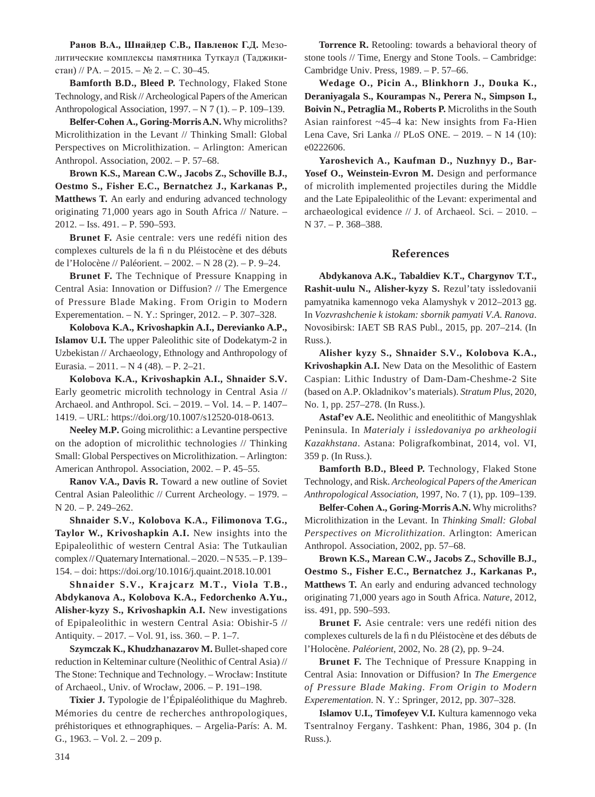**Ɋɚɧɨɜ ȼ.Ⱥ., ɒɧɚɣɞɟɪ ɋ.ȼ., ɉɚɜɥɟɧɨɤ Ƚ.Ⱦ.** Ɇɟɡɨлитические комплексы памятника Туткаул (Таджикистан) // РА. – 2015. – № 2. – С. 30–45.

**Bamforth B.D., Bleed P.** Technology, Flaked Stone Technology, and Risk // Archeological Papers of the American Anthropological Association, 1997. – N 7 (1). – P. 109–139.

**Belfer-Cohen Ⱥ., Goring-Morris A.N.** Why microliths? Microlithization in the Levant // Thinking Small: Global Perspectives on Microlithization. – Arlington: American Anthropol. Association, 2002. – P. 57–68.

**Brown K.S., Marean C.W., Jacobs Z., Schoville B.J., Oestmo S., Fisher E.C., Bernatchez J., Karkanas P., Matthews T.** An early and enduring advanced technology originating 71,000 years ago in South Africa // Nature. – 2012. – Iss. 491. – P. 590–593.

**Brunet F.** Asie centrale: vers une redéfi nition des complexes culturels de la fi n du Pléistocène et des débuts de l'Holocène // Paléorient. – 2002. – N 28 (2). – P. 9–24.

**Brunet F.** The Technique of Pressure Knapping in Central Asia: Innovation or Diffusion? // The Emergence of Pressure Blade Making. From Origin to Modern Experementation. – N. Y.: Springer, 2012. – P. 307–328.

**Kolobova K.A., Krivoshapkin A.I., Derevianko A.P., Islamov U.I.** The upper Paleolithic site of Dodekatym-2 in Uzbekistan // Archaeology, Ethnology and Anthropology of Eurasia. – 2011. – N 4 (48). – P. 2–21.

**Kolobova K.A., Krivoshapkin A.I., Shnaider S.V.** Early geometric microlith technology in Central Asia // Archaeol. and Anthropol. Sci. – 2019. – Vol. 14. – P. 1407– 1419. – URL: https://doi.org/10.1007/s12520-018-0613.

**Neeley M.P.** Going microlithic: a Levantine perspective on the adoption of microlithic technologies // Thinking Small: Global Perspectives on Microlithization. – Arlington: American Anthropol. Association, 2002. – P. 45–55.

**Ranov V.A., Davis R.** Toward a new outline of Soviet Central Asian Paleolithic // Current Archeology. – 1979. – N 20. – P. 249–262.

**Shnaider S.V., Kolobova K.A., Filimonova T.G., Taylor W., Krivoshapkin A.I.** New insights into the Epipaleolithic of western Central Asia: The Tutkaulian complex // Quaternary International. – 2020. – N 535. – P. 139– 154. – doi: https://doi.org/10.1016/j.quaint.2018.10.001

**Shnaider S.V., Krajcarz M.T., Viola T.B., Abdykanova A., Kolobova K.A., Fedorchenko A.Yu., Alisher-kyzy S., Krivoshapkin A.I.** New investigations of Epipaleolithic in western Central Asia: Obishir-5 // Antiquity. – 2017. – Vol. 91, iss. 360. – P. 1–7.

Szymczak K., Khudzhanazarov M. Bullet-shaped core reduction in Kelteminar culture (Neolithic of Central Asia) // The Stone: Technique and Technology. – Wrocáaw: Institute of Archaeol., Univ. of Wrocáaw, 2006. – P. 191–198.

**Tixier J.** Typologie de l'Épipaléolithique du Maghreb. Mémories du centre de recherches anthropologiques, préhistoriques et ethnographiques. – Argelia-París: A. M. G., 1963. – Vol. 2. – 209 p.

**Torrence R.** Retooling: towards a behavioral theory of stone tools // Time, Energy and Stone Tools. – Cambridge: Cambridge Univ. Press, 1989. – P. 57–66.

**Wedage O., Picin A., Blinkhorn J., Douka K., Deraniyagala S., Kourampas N., Perera N., Simpson I., Boivin N., Petraglia M., Roberts P. Microliths in the South** Asian rainforest ~45–4 ka: New insights from Fa-Hien Lena Cave, Sri Lanka // PLoS ONE. – 2019. – N 14 (10): e0222606.

**Yaroshevich A., Kaufman D., Nuzhnyy D., Bar-Yosef O., Weinstein-Evron M.** Design and performance of microlith implemented projectiles during the Middle and the Late Epipaleolithic of the Levant: experimental and archaeological evidence // J. of Archaeol. Sci. – 2010. – N 37. – P. 368–388.

#### **References**

**Abdykanova A.K., Tabaldiev K.T., Chargynov T.T., Rashit-uulu N., Alisher-kyzy S.** Rezul'taty issledovanii pamyatnika kamennogo veka Alamyshyk v 2012–2013 gg. In *Vozvrashchenie k istokam: sbornik pamyati V.A. Ranova*. Novosibirsk: IAET SB RAS Publ., 2015, pp. 207–214. (In Russ.).

**Alisher kyzy S., Shnaider S.V., Kolobova K.A., Krivoshapkin A.I.** New Data on the Mesolithic of Eastern Caspian: Lithic Industry of Dam-Dam-Cheshme-2 Site (based on A.P. Okladnikov's materials). *Stratum Plus*, 2020, No. 1, pp. 257–278. (In Russ.).

**Astaf'ev A.E.** Neolithic and eneolitithic of Mangyshlak Peninsula. In *Materialy i issledovaniya po arkheologii Kazakhstana*. Astana: Poligrafkombinat, 2014, vol. VI, 359 p. (In Russ.).

**Bamforth B.D., Bleed P.** Technology, Flaked Stone Technology, and Risk. *Archeological Papers of the American Anthropological Association*, 1997, No. 7 (1), pp. 109–139.

Belfer-Cohen A., Goring-Morris A.N. Why microliths? Microlithization in the Levant. In *Thinking Small: Global Perspectives on Microlithization*. Arlington: American Anthropol. Association, 2002, pp. 57–68.

**Brown K.S., Marean C.W., Jacobs Z., Schoville B.J., Oestmo S., Fisher E.C., Bernatchez J., Karkanas P., Matthews T.** An early and enduring advanced technology originating 71,000 years ago in South Africa. *Nature*, 2012, iss. 491, pp. 590–593.

**Brunet F.** Asie centrale: vers une redéfi nition des complexes culturels de la fi n du Pléistocène et des débuts de l'Holocène. *Paléorient*, 2002, No. 28 (2), pp. 9–24.

**Brunet F.** The Technique of Pressure Knapping in Central Asia: Innovation or Diffusion? In *The Emergence of Pressure Blade Making. From Origin to Modern Experementation*. N. Y.: Springer, 2012, pp. 307–328.

**Islamov U.I., Timofeyev V.I.** Kultura kamennogo veka Tsentralnoy Fergany. Tashkent: Phan, 1986, 304 p. (In Russ.).